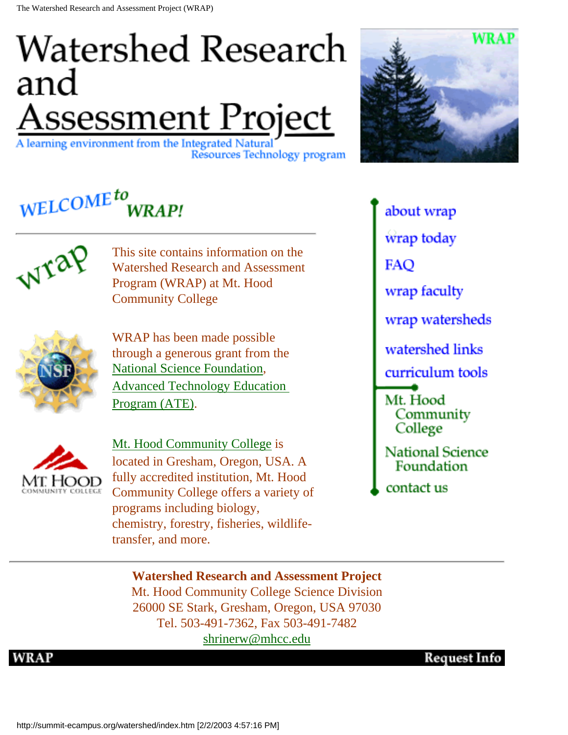### **Watershed Research** and <u>Assessment Project</u>

A learning environment from the Integrated Natural Resources Technology program



### WELCOME<sup>to</sup>



This site contains information on the Watershed Research and Assessment Program (WRAP) at Mt. Hood Community College



WRAP has been made possible through a generous grant from the [National Science Foundation,](http://www.nsf.gov/) [Advanced Technology Education](http://www.ehr.nsf.gov/ehr/due/programs/ate) [Program \(ATE\)](http://www.ehr.nsf.gov/ehr/due/programs/ate).



[Mt. Hood Community College](http://www.mhcc.edu/) is located in Gresham, Oregon, USA. A fully accredited institution, Mt. Hood Community College offers a variety of programs including biology, chemistry, forestry, fisheries, wildlifetransfer, and more.

about wrap wrap today **FAO** wrap faculty wrap watersheds watershed links curriculum tools Mt. Hood Community College **National Science** Foundation contact us

#### **Watershed Research and Assessment Project**

Mt. Hood Community College Science Division 26000 SE Stark, Gresham, Oregon, USA 97030 Tel. 503-491-7362, Fax 503-491-7482 [shrinerw@mhcc.edu](mailto:shrinerw@mhcc.edu)

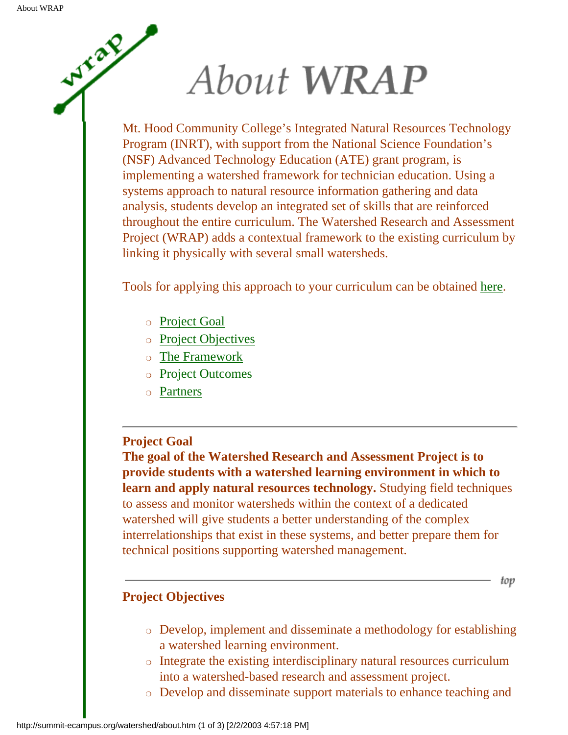Wycaz

# About WRAP

Mt. Hood Community College's Integrated Natural Resources Technology Program (INRT), with support from the National Science Foundation's (NSF) Advanced Technology Education (ATE) grant program, is implementing a watershed framework for technician education. Using a systems approach to natural resource information gathering and data analysis, students develop an integrated set of skills that are reinforced throughout the entire curriculum. The Watershed Research and Assessment Project (WRAP) adds a contextual framework to the existing curriculum by linking it physically with several small watersheds.

Tools for applying this approach to your curriculum can be obtained [here](#page-4-0).

- ❍ [Project Goal](#page-1-0)
- ❍ [Project Objectives](#page-1-1)
- ❍ [The Framework](#page-2-0)
- ❍ [Project Outcomes](#page-2-1)
- ❍ [Partners](#page-2-2)

#### <span id="page-1-0"></span>**Project Goal**

**The goal of the Watershed Research and Assessment Project is to provide students with a watershed learning environment in which to learn and apply natural resources technology.** Studying field techniques to assess and monitor watersheds within the context of a dedicated watershed will give students a better understanding of the complex interrelationships that exist in these systems, and better prepare them for technical positions supporting watershed management.

#### <span id="page-1-1"></span>**Project Objectives**

❍ Develop, implement and disseminate a methodology for establishing a watershed learning environment.

top

- ❍ Integrate the existing interdisciplinary natural resources curriculum into a watershed-based research and assessment project.
- ❍ Develop and disseminate support materials to enhance teaching and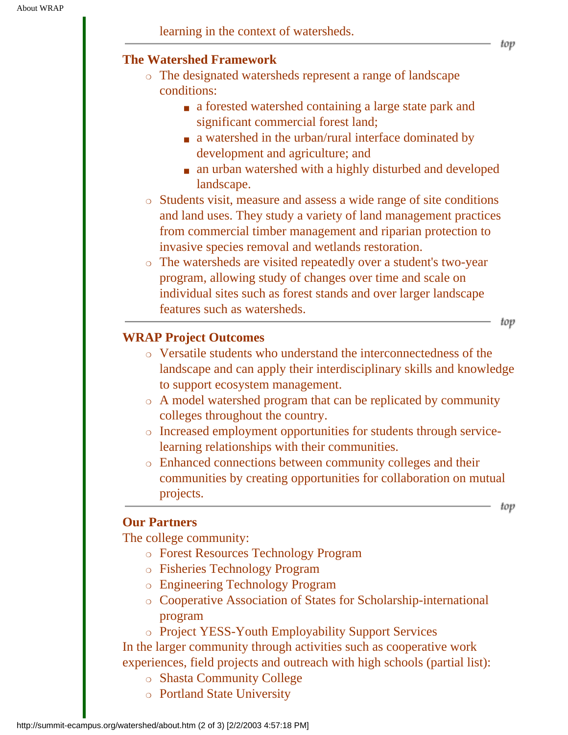#### <span id="page-2-0"></span>**The Watershed Framework**

- ❍ The designated watersheds represent a range of landscape conditions:
	- a forested watershed containing a large state park and significant commercial forest land;
	- a watershed in the urban/rural interface dominated by development and agriculture; and
	- an urban watershed with a highly disturbed and developed landscape.
- ❍ Students visit, measure and assess a wide range of site conditions and land uses. They study a variety of land management practices from commercial timber management and riparian protection to invasive species removal and wetlands restoration.
- ❍ The watersheds are visited repeatedly over a student's two-year program, allowing study of changes over time and scale on individual sites such as forest stands and over larger landscape features such as watersheds.

#### <span id="page-2-1"></span>**WRAP Project Outcomes**

- ❍ Versatile students who understand the interconnectedness of the landscape and can apply their interdisciplinary skills and knowledge to support ecosystem management.
- ❍ A model watershed program that can be replicated by community colleges throughout the country.
- ❍ Increased employment opportunities for students through servicelearning relationships with their communities.
- ❍ Enhanced connections between community colleges and their communities by creating opportunities for collaboration on mutual projects.

top

top

#### <span id="page-2-2"></span>**Our Partners**

The college community:

- ❍ Forest Resources Technology Program
- ❍ Fisheries Technology Program
- ❍ Engineering Technology Program
- ❍ Cooperative Association of States for Scholarship-international program
- ❍ Project YESS-Youth Employability Support Services

In the larger community through activities such as cooperative work experiences, field projects and outreach with high schools (partial list):

- ❍ Shasta Community College
- ❍ Portland State University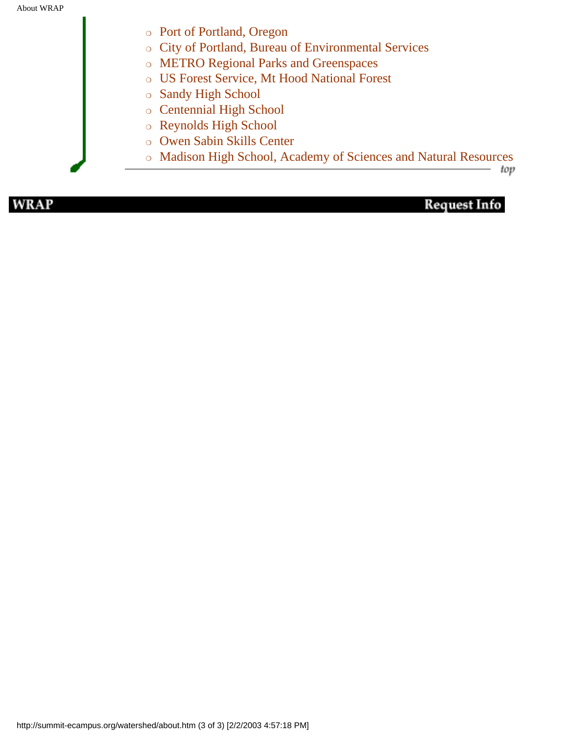- ❍ Port of Portland, Oregon
- ❍ City of Portland, Bureau of Environmental Services
- ❍ METRO Regional Parks and Greenspaces
- ❍ US Forest Service, Mt Hood National Forest
- ❍ Sandy High School
- ❍ Centennial High School
- ❍ Reynolds High School
- ❍ Owen Sabin Skills Center
- ❍ Madison High School, Academy of Sciences and Natural Resources

top

**WRAP**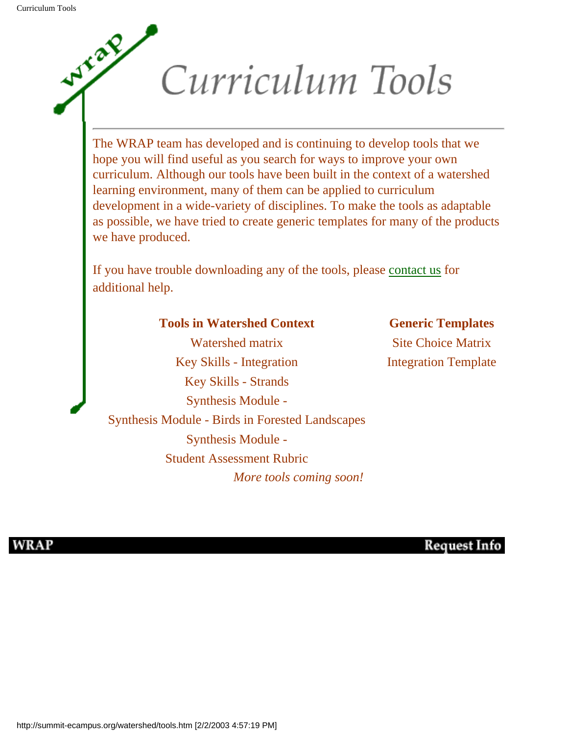<span id="page-4-0"></span>Wylan

# Curriculum Tools

The WRAP team has developed and is continuing to develop tools that we hope you will find useful as you search for ways to improve your own curriculum. Although our tools have been built in the context of a watershed learning environment, many of them can be applied to curriculum development in a wide-variety of disciplines. To make the tools as adaptable as possible, we have tried to create generic templates for many of the products we have produced.

If you have trouble downloading any of the tools, please [contact us](http://summit-ecampus.org/watershed/contact.htm) for additional help.

#### **Tools in Watershed Context <b>Generic Templates**

Watershed matrix Site Choice Matrix Key Skills - Integration Integration Integration Template Key Skills - Strands Synthesis Module - Synthesis Module - Birds in Forested Landscapes Synthesis Module - Student Assessment Rubric *More tools coming soon!*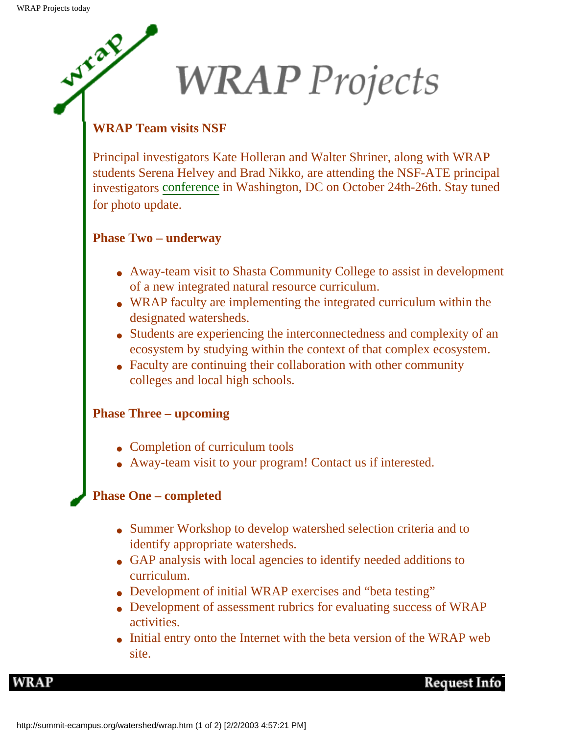WYL and

# **WRAP** Projects

#### **WRAP Team visits NSF**

Principal investigators Kate Holleran and Walter Shriner, along with WRAP students Serena Helvey and Brad Nikko, are attending the NSF-ATE principal investigators [conference](http://www.aacc.nche.edu/Content/NavigationMenu/ResourceCenter/Projects_Partnerships/Current/AdvancedTechnologicalEducation/2002_ATE_Conference.htm) in Washington, DC on October 24th-26th. Stay tuned for photo update.

#### **Phase Two – underway**

- Away-team visit to Shasta Community College to assist in development of a new integrated natural resource curriculum.
- WRAP faculty are implementing the integrated curriculum within the designated watersheds.
- Students are experiencing the interconnectedness and complexity of an ecosystem by studying within the context of that complex ecosystem.
- Faculty are continuing their collaboration with other community colleges and local high schools.

#### **Phase Three – upcoming**

- Completion of curriculum tools
- Away-team visit to your program! Contact us if interested.

#### **Phase One – completed**

- Summer Workshop to develop watershed selection criteria and to identify appropriate watersheds.
- GAP analysis with local agencies to identify needed additions to curriculum.
- Development of initial WRAP exercises and "beta testing"
- Development of assessment rubrics for evaluating success of WRAP activities.
- Initial entry onto the Internet with the beta version of the WRAP web site.

**WRAP**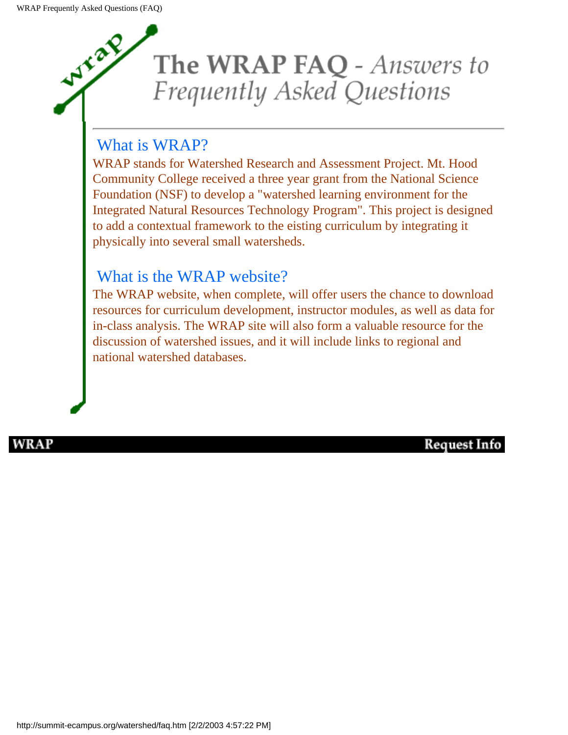

#### What is WRAP?

WRAP stands for Watershed Research and Assessment Project. Mt. Hood Community College received a three year grant from the National Science Foundation (NSF) to develop a "watershed learning environment for the Integrated Natural Resources Technology Program". This project is designed to add a contextual framework to the eisting curriculum by integrating it physically into several small watersheds.

#### What is the WRAP website?

The WRAP website, when complete, will offer users the chance to download resources for curriculum development, instructor modules, as well as data for in-class analysis. The WRAP site will also form a valuable resource for the discussion of watershed issues, and it will include links to regional and national watershed databases.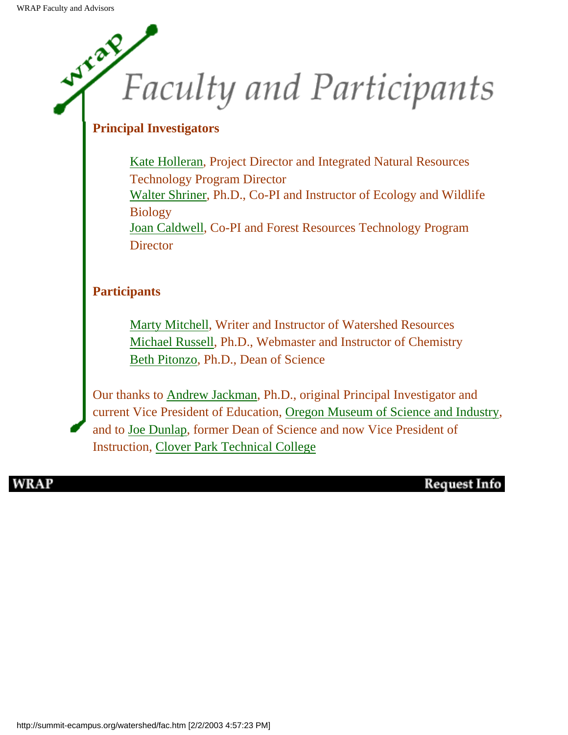## **WYCAR Faculty and Participants**

#### **Principal Investigators**

[Kate Holleran,](mailto:hollerak@mhcc.edu) Project Director and Integrated Natural Resources Technology Program Director [Walter Shriner,](mailto:shrinerw@mhcc.edu) Ph.D., Co-PI and Instructor of Ecology and Wildlife **Biology** [Joan Caldwell,](mailto:caldwel@mhcc.edu) Co-PI and Forest Resources Technology Program **Director** 

#### **Participants**

[Marty Mitchell](mailto:marty.mitchell@clearwaterwest.com), Writer and Instructor of Watershed Resources [Michael Russell,](mailto:russellm@mhcc.edu) Ph.D., Webmaster and Instructor of Chemistry [Beth Pitonzo,](mailto:pitonzob@mhcc.edu) Ph.D., Dean of Science

Our thanks to [Andrew Jackman](mailto:Andrew.Jackman@omsi.edu), Ph.D., original Principal Investigator and current Vice President of Education, [Oregon Museum of Science and Industry](http://www.omsi.org/), and to [Joe Dunlap](mailto:joe.dunlap@cptc.edu), former Dean of Science and now Vice President of Instruction, [Clover Park Technical College](http://www.cptc.edu/)

WRAP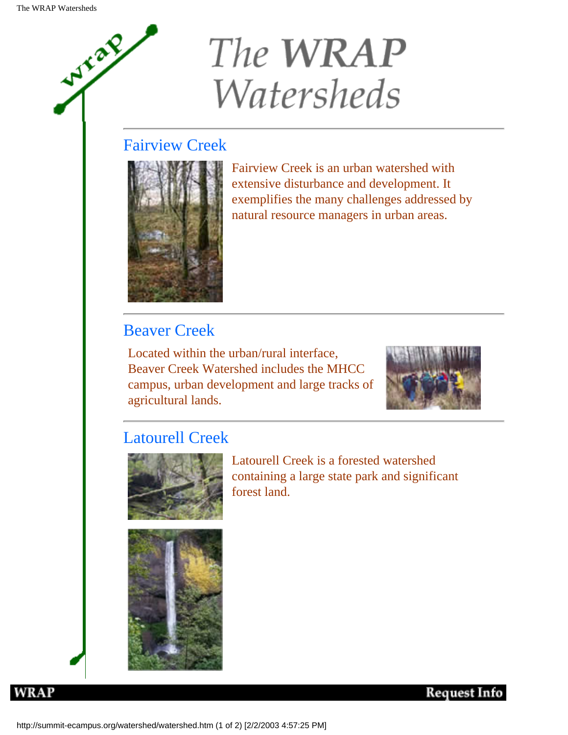Wylaz

## The **WRAP Watersheds**

#### Fairview Creek



Fairview Creek is an urban watershed with extensive disturbance and development. It exemplifies the many challenges addressed by natural resource managers in urban areas.

#### Beaver Creek

Located within the urban/rural interface, Beaver Creek Watershed includes the MHCC campus, urban development and large tracks of agricultural lands.



#### Latourell Creek



Latourell Creek is a forested watershed containing a large state park and significant forest land.



**WRAP**